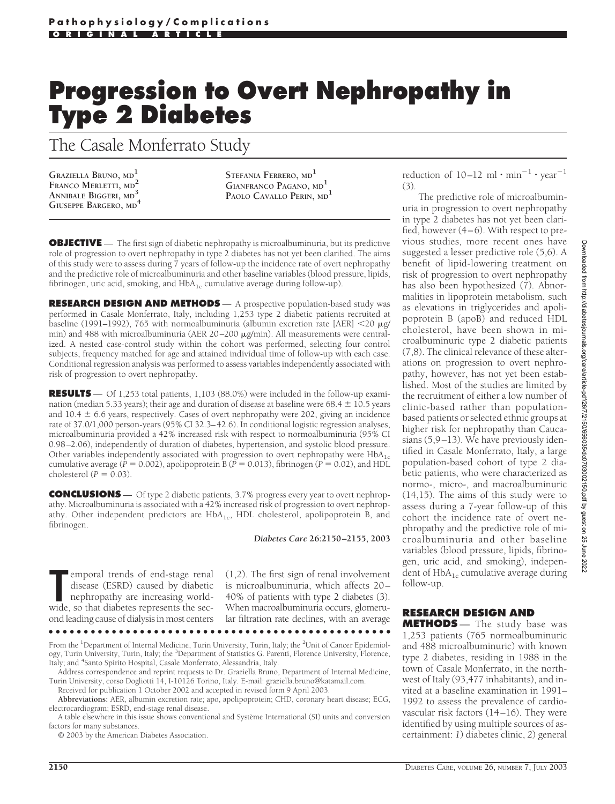## **Progression to Overt Nephropathy in Type 2 Diabetes**

The Casale Monferrato Study

**GRAZIELLA BRUNO, MD<sup>1</sup> FRANCO MERLETTI, MD<sup>2</sup> ANNIBALE BIGGERI, MD<sup>3</sup> GIUSEPPE BARGERO, MD<sup>4</sup>**

**STEFANIA FERRERO, MD<sup>1</sup> GIANFRANCO PAGANO, MD<sup>1</sup> PAOLO CAVALLO PERIN, MD<sup>1</sup>**

**OBJECTIVE** — The first sign of diabetic nephropathy is microalbuminuria, but its predictive role of progression to overt nephropathy in type 2 diabetes has not yet been clarified. The aims of this study were to assess during 7 years of follow-up the incidence rate of overt nephropathy and the predictive role of microalbuminuria and other baseline variables (blood pressure, lipids, fibrinogen, uric acid, smoking, and  $HbA_{1c}$  cumulative average during follow-up).

**RESEARCH DESIGN AND METHODS** — A prospective population-based study was performed in Casale Monferrato, Italy, including 1,253 type 2 diabetic patients recruited at baseline (1991–1992), 765 with normoalbuminuria (albumin excretion rate [AER]  $<$ 20  $\mu$ g/ min) and 488 with microalbuminuria (AER 20-200 µg/min). All measurements were centralized. A nested case-control study within the cohort was performed, selecting four control subjects, frequency matched for age and attained individual time of follow-up with each case. Conditional regression analysis was performed to assess variables independently associated with risk of progression to overt nephropathy.

**RESULTS** — Of 1,253 total patients, 1,103 (88.0%) were included in the follow-up examination (median 5.33 years); their age and duration of disease at baseline were  $68.4 \pm 10.5$  years and 10.4  $\pm$  6.6 years, respectively. Cases of overt nephropathy were 202, giving an incidence rate of 37.0/1,000 person-years (95% CI 32.3–42.6). In conditional logistic regression analyses, microalbuminuria provided a 42% increased risk with respect to normoalbuminuria (95% CI 0.98–2.06), independently of duration of diabetes, hypertension, and systolic blood pressure. Other variables independently associated with progression to overt nephropathy were  $HbA_{1c}$ cumulative average  $(P = 0.002)$ , apolipoprotein B  $(P = 0.013)$ , fibrinogen  $(P = 0.02)$ , and HDL cholesterol  $(P = 0.03)$ .

**CONCLUSIONS** — Of type 2 diabetic patients, 3.7% progress every year to overt nephropathy. Microalbuminuria is associated with a 42% increased risk of progression to overt nephropathy. Other independent predictors are  $HbA_{1c}$ , HDL cholesterol, apolipoprotein B, and fibrinogen.

*Diabetes Care* **26:2150–2155, 2003**

**The EM** emporal trends of end-stage renal disease (ESRD) caused by diabetic nephropathy are increasing world-wide, so that diabetes represents the secemporal trends of end-stage renal disease (ESRD) caused by diabetic nephropathy are increasing worldond leading cause of dialysis in most centers (1,2). The first sign of renal involvement is microalbuminuria, which affects 20– 40% of patients with type 2 diabetes (3). When macroalbuminuria occurs, glomerular filtration rate declines, with an average

●●●●●●●●●●●●●●●●●●●●●●●●●●●●●●●●●●●●●●●●●●●●●●●●●

From the <sup>1</sup>Department of Internal Medicine, Turin University, Turin, Italy; the <sup>2</sup>Unit of Cancer Epidemiology, Turin University, Turin, Italy; the <sup>3</sup>Department of Statistics G. Parenti, Florence University, Florence, Italy; and <sup>4</sup>Santo Spirito Hospital, Casale Monferrato, Alessandria, Italy.

Address correspondence and reprint requests to Dr. Graziella Bruno, Department of Internal Medicine, Turin University, corso Dogliotti 14, I-10126 Torino, Italy. E-mail: graziella.bruno@katamail.com. Received for publication 1 October 2002 and accepted in revised form 9 April 2003.

**Abbreviations:** AER, albumin excretion rate; apo, apolipoprotein; CHD, coronary heart disease; ECG,

electrocardiogram; ESRD, end-stage renal disease.

A table elsewhere in this issue shows conventional and Système International (SI) units and conversion factors for many substances.

© 2003 by the American Diabetes Association.

reduction of  $10-12$  ml  $\cdot$  min<sup>-1</sup>  $\cdot$  year<sup>-1</sup>  $(3)$ 

The predictive role of microalbuminuria in progression to overt nephropathy in type 2 diabetes has not yet been clarified, however (4–6). With respect to previous studies, more recent ones have suggested a lesser predictive role (5,6). A benefit of lipid-lowering treatment on risk of progression to overt nephropathy has also been hypothesized  $(7)$ . Abnormalities in lipoprotein metabolism, such as elevations in triglycerides and apolipoprotein B (apoB) and reduced HDL cholesterol, have been shown in microalbuminuric type 2 diabetic patients (7,8). The clinical relevance of these alterations on progression to overt nephropathy, however, has not yet been established. Most of the studies are limited by the recruitment of either a low number of clinic-based rather than populationbased patients or selected ethnic groups at higher risk for nephropathy than Caucasians (5,9–13). We have previously identified in Casale Monferrato, Italy, a large population-based cohort of type 2 diabetic patients, who were characterized as normo-, micro-, and macroalbuminuric (14,15). The aims of this study were to assess during a 7-year follow-up of this cohort the incidence rate of overt nephropathy and the predictive role of microalbuminuria and other baseline variables (blood pressure, lipids, fibrinogen, uric acid, and smoking), independent of  $HbA_{1c}$  cumulative average during follow-up.

## **RESEARCH DESIGN AND**

**METHODS** — The study base was 1,253 patients (765 normoalbuminuric and 488 microalbuminuric) with known type 2 diabetes, residing in 1988 in the town of Casale Monferrato, in the northwest of Italy (93,477 inhabitants), and invited at a baseline examination in 1991– 1992 to assess the prevalence of cardiovascular risk factors (14–16). They were identified by using multiple sources of ascertainment: *1*) diabetes clinic, *2*) general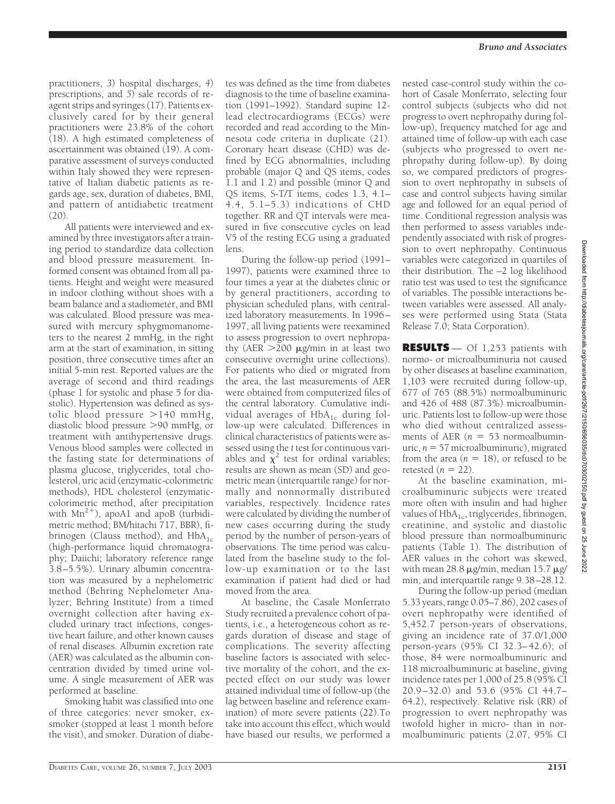practitioners, *3*) hospital discharges, *4*) prescriptions, and *5*) sale records of reagent strips and syringes (17). Patients exclusively cared for by their general practitioners were 23.8% of the cohort (18). A high estimated completeness of ascertainment was obtained (19). A comparative assessment of surveys conducted within Italy showed they were representative of Italian diabetic patients as regards age, sex, duration of diabetes, BMI, and pattern of antidiabetic treatment (20).

All patients were interviewed and examined by three investigators after a training period to standardize data collection and blood pressure measurement. Informed consent was obtained from all patients. Height and weight were measured in indoor clothing without shoes with a beam balance and a stadiometer, and BMI was calculated. Blood pressure was measured with mercury sphygmomanometers to the nearest 2 mmHg, in the right arm at the start of examination, in sitting position, three consecutive times after an initial 5-min rest. Reported values are the average of second and third readings (phase 1 for systolic and phase 5 for diastolic). Hypertension was defined as systolic blood pressure  $>140$  mmHg, diastolic blood pressure >90 mmHg, or treatment with antihypertensive drugs. Venous blood samples were collected in the fasting state for determinations of plasma glucose, triglycerides, total cholesterol, uric acid (enzymatic-colorimetric methods), HDL cholesterol (enzymaticcolorimetric method, after precipitation with  $Mn^{2+}$ ), apoA1 and apoB (turbidimetric method; BM/hitachi 717, BBR), fibrinogen (Clauss method), and  $HbA_{1c}$ (high-performance liquid chromatography; Daiichi; laboratory reference range 3.8–5.5%). Urinary albumin concentration was measured by a nephelometric method (Behring Nephelometer Analyzer; Behring Institute) from a timed overnight collection after having excluded urinary tract infections, congestive heart failure, and other known causes of renal diseases. Albumin excretion rate (AER) was calculated as the albumin concentration divided by timed urine volume. A single measurement of AER was performed at baseline.

Smoking habit was classified into one of three categories: never smoker, exsmoker (stopped at least 1 month before the visit), and smoker. Duration of diabe-

tes was defined as the time from diabetes diagnosis to the time of baseline examination (1991–1992). Standard supine 12 lead electrocardiograms (ECGs) were recorded and read according to the Minnesota code criteria in duplicate (21). Coronary heart disease (CHD) was defined by ECG abnormalities, including probable (major Q and QS items, codes 1.1 and 1.2) and possible (minor Q and QS items, S-T/T items, codes 1.3, 4.1– 4.4, 5.1–5.3) indications of CHD together. RR and QT intervals were measured in five consecutive cycles on lead V5 of the resting ECG using a graduated lens.

During the follow-up period (1991– 1997), patients were examined three to four times a year at the diabetes clinic or by general practitioners, according to physician scheduled plans, with centralized laboratory measurements. In 1996– 1997, all living patients were reexamined to assess progression to overt nephropathy (AER  $>$  200  $\mu$ g/min in at least two consecutive overnight urine collections). For patients who died or migrated from the area, the last measurements of AER were obtained from computerized files of the central laboratory. Cumulative individual averages of  $HbA_{1c}$  during follow-up were calculated. Differences in clinical characteristics of patients were assessed using the *t* test for continuous variables and  $\chi^2$  test for ordinal variables; results are shown as mean (SD) and geometric mean (interquartile range) for normally and nonnormally distributed variables, respectively. Incidence rates were calculated by dividing the number of new cases occurring during the study period by the number of person-years of observations. The time period was calculated from the baseline study to the follow-up examination or to the last examination if patient had died or had moved from the area.

At baseline, the Casale Monferrato Study recruited a prevalence cohort of patients, i.e., a heterogeneous cohort as regards duration of disease and stage of complications. The severity affecting baseline factors is associated with selective mortality of the cohort, and the expected effect on our study was lower attained individual time of follow-up (the lag between baseline and reference examination) of more severe patients (22).To take into account this effect, which would have biased our results, we performed a

nested case-control study within the cohort of Casale Monferrato, selecting four control subjects (subjects who did not progress to overt nephropathy during follow-up), frequency matched for age and attained time of follow-up with each case (subjects who progressed to overt nephropathy during follow-up). By doing so, we compared predictors of progression to overt nephropathy in subsets of case and control subjects having similar age and followed for an equal period of time. Conditional regression analysis was then performed to assess variables independently associated with risk of progression to overt nephropathy. Continuous variables were categorized in quartiles of their distribution. The –2 log likelihood ratio test was used to test the significance of variables. The possible interactions between variables were assessed. All analyses were performed using Stata (Stata Release 7.0; Stata Corporation).

**RESULTS** — Of 1,253 patients with normo- or microalbuminuria not caused by other diseases at baseline examination, 1,103 were recruited during follow-up, 677 of 765 (88.5%) normoalbuminuric and 426 of 488 (87.3%) microalbuminuric. Patients lost to follow-up were those who died without centralized assessments of AER  $(n = 53$  normoalbuminuric,  $n = 57$  microalbuminuric), migrated from the area  $(n = 18)$ , or refused to be retested  $(n = 22)$ .

At the baseline examination, microalbuminuric subjects were treated more often with insulin and had higher values of  $HbA_{1c}$ , triglycerides, fibrinogen, creatinine, and systolic and diastolic blood pressure than normoalbuminuric patients (Table 1). The distribution of AER values in the cohort was skewed, with mean 28.8  $\mu$ g/min, median 15.7  $\mu$ g/ min, and interquartile range 9.38–28.12.

During the follow-up period (median 5.33 years, range 0.05–7.86), 202 cases of overt nephropathy were identified of 5,452.7 person-years of observations, giving an incidence rate of 37.0/1,000 person-years (95% CI 32.3– 42.6); of those, 84 were normoalbuminuric and 118 microalbuminuric at baseline, giving incidence rates per 1,000 of 25.8 (95% CI 20.9 –32.0) and 53.6 (95% CI 44.7– 64.2), respectively. Relative risk (RR) of progression to overt nephropathy was twofold higher in micro- than in normoalbuminuric patients (2.07, 95% CI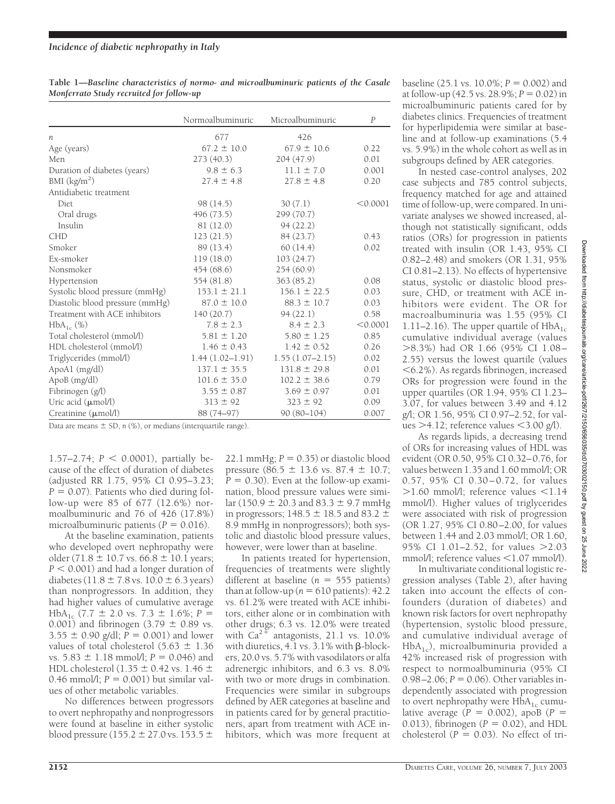|                                 | Normoalbuminuric    | Microalbuminuric  | $\boldsymbol{P}$ |
|---------------------------------|---------------------|-------------------|------------------|
| n                               | 677                 | 426               |                  |
| Age (years)                     | $67.2 \pm 10.0$     | $67.9 \pm 10.6$   | 0.22             |
| Men                             | 273(40.3)           | 204(47.9)         | 0.01             |
| Duration of diabetes (years)    | $9.8 \pm 6.3$       | $11.1 \pm 7.0$    | 0.001            |
| BMI $(kg/m2)$                   | $27.4 \pm 4.8$      | $27.8 \pm 4.8$    | 0.20             |
| Antidiabetic treatment          |                     |                   |                  |
| Diet                            | 98 (14.5)           | 30(7.1)           | < 0.0001         |
| Oral drugs                      | 496 (73.5)          | 299 (70.7)        |                  |
| Insulin                         | 81 (12.0)           | 94(22.2)          |                  |
| <b>CHD</b>                      | 123(21.5)           | 84 (23.7)         | 0.43             |
| Smoker                          | 89 (13.4)           | 60(14.4)          | 0.02             |
| Ex-smoker                       | 119(18.0)           | 103(24.7)         |                  |
| Nonsmoker                       | 454 (68.6)          | 254(60.9)         |                  |
| Hypertension                    | 554 (81.8)          | 363(85.2)         | 0.08             |
| Systolic blood pressure (mmHg)  | $153.1 \pm 21.1$    | $156.1 \pm 22.5$  | 0.03             |
| Diastolic blood pressure (mmHg) | $87.0 \pm 10.0$     | $88.3 \pm 10.7$   | 0.03             |
| Treatment with ACE inhibitors   | 140(20.7)           | 94(22.1)          | 0.58             |
| $HbA_{1c}$ (%)                  | $7.8 \pm 2.3$       | $8.4 \pm 2.3$     | < 0.0001         |
| Total cholesterol (mmol/l)      | $5.81 \pm 1.20$     | $5.80 \pm 1.25$   | 0.85             |
| HDL cholesterol (mmol/l)        | $1.46 \pm 0.43$     | $1.42 \pm 0.52$   | 0.26             |
| Triglycerides (mmol/l)          | $1.44(1.02 - 1.91)$ | $1.55(1.07-2.15)$ | 0.02             |
| ApoA1 (mg/dl)                   | $137.1 \pm 35.5$    | $131.8 \pm 29.8$  | 0.01             |
| ApoB (mg/dl)                    | $101.6 \pm 35.0$    | $102.2 \pm 38.6$  | 0.79             |
| Fibrinogen (g/l)                | $3.55 \pm 0.87$     | $3.69 \pm 0.97$   | 0.01             |
| Uric acid (µmol/l)              | $313 \pm 92$        | $323 \pm 92$      | 0.09             |
| Creatinine $(\mu \text{mol/l})$ | 88 (74-97)          | $90(80 - 104)$    | 0.007            |

**Table 1—***Baseline characteristics of normo- and microalbuminuric patients of the Casale Monferrato Study recruited for follow-up*

Data are means  $\pm$  SD, *n* (%), or medians (interquartile range).

1.57–2.74;  $P < 0.0001$ ), partially because of the effect of duration of diabetes (adjusted RR 1.75, 95% CI 0.95–3.23;  $P = 0.07$ ). Patients who died during follow-up were 85 of 677 (12.6%) normoalbuminuric and 76 of 426 (17.8%) microalbuminuric patients  $(P = 0.016)$ .

At the baseline examination, patients who developed overt nephropathy were older (71.8  $\pm$  10.7 vs. 66.8  $\pm$  10.1 years;  $P < 0.001$ ) and had a longer duration of diabetes (11.8  $\pm$  7.8 vs. 10.0  $\pm$  6.3 years) than nonprogressors. In addition, they had higher values of cumulative average HbA<sub>1c</sub> (7.7  $\pm$  2.0 vs. 7.3  $\pm$  1.6%; *P* = 0.001) and fibrinogen (3.79  $\pm$  0.89 vs.  $3.55 \pm 0.90$  g/dl;  $P = 0.001$ ) and lower values of total cholesterol (5.63  $\pm$  1.36 vs.  $5.83 \pm 1.18$  mmol/l;  $P = 0.046$ ) and HDL cholesterol (1.35  $\pm$  0.42 vs. 1.46  $\pm$ 0.46 mmol/l;  $P = 0.001$ ) but similar values of other metabolic variables.

No differences between progressors to overt nephropathy and nonprogressors were found at baseline in either systolic blood pressure (155.2  $\pm$  27.0 vs. 153.5  $\pm$ 

22.1 mmHg;  $P = 0.35$ ) or diastolic blood pressure  $(86.5 \pm 13.6 \text{ vs. } 87.4 \pm 10.7)$ ;  $P = 0.30$ ). Even at the follow-up examination, blood pressure values were similar (150.9  $\pm$  20.3 and 83.3  $\pm$  9.7 mmHg in progressors;  $148.5 \pm 18.5$  and  $83.2 \pm 18.5$ 8.9 mmHg in nonprogressors); both systolic and diastolic blood pressure values, however, were lower than at baseline.

In patients treated for hypertension, frequencies of treatments were slightly different at baseline  $(n = 555$  patients) than at follow-up ( $n = 610$  patients): 42.2 vs. 61.2% were treated with ACE inhibitors, either alone or in combination with other drugs; 6.3 vs. 12.0% were treated with  $Ca^{2+}$  antagonists, 21.1 vs. 10.0% with diuretics,  $4.1$  vs.  $3.1\%$  with  $\beta$ -blockers, 20.0 vs. 5.7% with vasodilators or alfa adrenergic inhibitors, and 6.3 vs. 8.0% with two or more drugs in combination. Frequencies were similar in subgroups defined by AER categories at baseline and in patients cared for by general practitioners, apart from treatment with ACE inhibitors, which was more frequent at baseline  $(25.1 \text{ vs. } 10.0\%; P = 0.002)$  and at follow-up (42.5 vs. 28.9%;  $P = 0.02$ ) in microalbuminuric patients cared for by diabetes clinics. Frequencies of treatment for hyperlipidemia were similar at baseline and at follow-up examinations (5.4 vs. 5.9%) in the whole cohort as well as in subgroups defined by AER categories.

In nested case-control analyses, 202 case subjects and 785 control subjects, frequency matched for age and attained time of follow-up, were compared. In univariate analyses we showed increased, although not statistically significant, odds ratios (ORs) for progression in patients treated with insulin (OR 1.43, 95% CI 0.82–2.48) and smokers (OR 1.31, 95% CI 0.81–2.13). No effects of hypertensive status, systolic or diastolic blood pressure, CHD, or treatment with ACE inhibitors were evident. The OR for macroalbuminuria was 1.55 (95% CI 1.11–2.16). The upper quartile of  $HbA_{1c}$ cumulative individual average (values 8.3%) had OR 1.66 (95% CI 1.08 – 2.55) versus the lowest quartile (values 6.2%). As regards fibrinogen, increased ORs for progression were found in the upper quartiles (OR 1.94, 95% CI 1.23– 3.07, for values between 3.49 and 4.12 g/l; OR 1.56, 95% CI 0.97–2.52, for values  $>4.12$ ; reference values  $<$ 3.00 g/l).

As regards lipids, a decreasing trend of ORs for increasing values of HDL was evident (OR 0.50, 95% CI 0.32–0.76, for values between 1.35 and 1.60 mmol/l; OR 0.57, 95% CI 0.30–0.72, for values  $>1.60$  mmol/l; reference values  $< 1.14$ mmol/l). Higher values of triglycerides were associated with risk of progression (OR 1.27, 95% CI 0.80–2.00, for values between 1.44 and 2.03 mmol/l; OR 1.60, 95% CI 1.01-2.52, for values >2.03 mmol/l; reference values <1.07 mmol/l).

In multivariate conditional logistic regression analyses (Table 2), after having taken into account the effects of confounders (duration of diabetes) and known risk factors for overt nephropathy (hypertension, systolic blood pressure, and cumulative individual average of  $HbA_{1c}$ ), microalbuminuria provided a 42% increased risk of progression with respect to normoalbuminuria (95% CI 0.98–2.06;  $P = 0.06$ ). Other variables independently associated with progression to overt nephropathy were  $HbA_{1c}$  cumulative average  $(P = 0.002)$ , apoB  $(P =$ 0.013), fibrinogen  $(P = 0.02)$ , and HDL cholesterol  $(P = 0.03)$ . No effect of tri-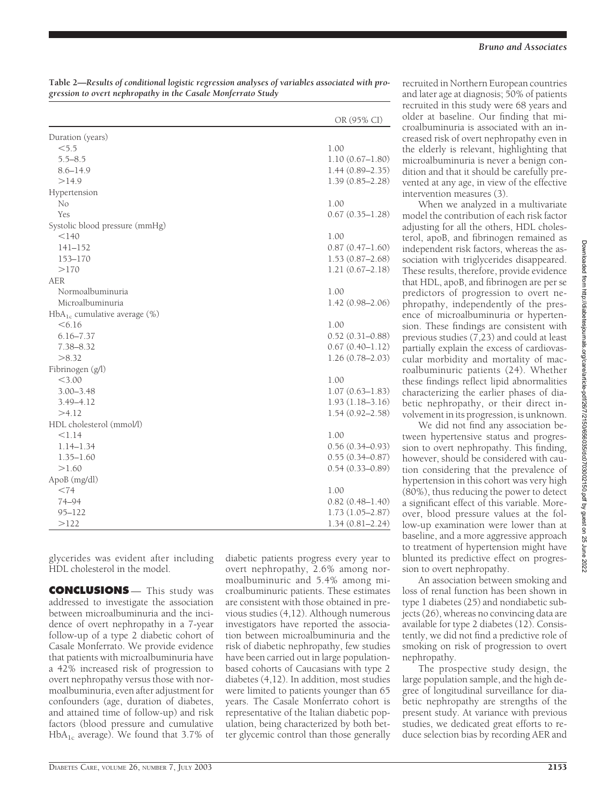|                                   | OR (95% CI)         |
|-----------------------------------|---------------------|
| Duration (years)                  |                     |
| < 5.5                             | 1.00                |
| $5.5 - 8.5$                       | $1.10(0.67 - 1.80)$ |
| $8.6 - 14.9$                      | $1.44(0.89 - 2.35)$ |
| >14.9                             | $1.39(0.85 - 2.28)$ |
| Hypertension                      |                     |
| No                                | 1.00                |
| <b>Yes</b>                        | $0.67(0.35 - 1.28)$ |
| Systolic blood pressure (mmHg)    |                     |
| < 140                             | 1.00                |
| $141 - 152$                       | $0.87(0.47 - 1.60)$ |
| $153 - 170$                       | $1.53(0.87 - 2.68)$ |
| >170                              | $1.21(0.67 - 2.18)$ |
| AER                               |                     |
| Normoalbuminuria                  | 1.00                |
| Microalbuminuria                  | 1.42 (0.98-2.06)    |
| $HbA_{1c}$ cumulative average (%) |                     |
| < 6.16                            | 1.00                |
| $6.16 - 7.37$                     | $0.52(0.31 - 0.88)$ |
| 7.38-8.32                         | $0.67(0.40 - 1.12)$ |
| >8.32                             | $1.26(0.78 - 2.03)$ |
| Fibrinogen (g/l)                  |                     |
| $<$ 3.00                          | 1.00                |
| $3.00 - 3.48$                     | $1.07(0.63 - 1.83)$ |
| $3.49 - 4.12$                     | $1.93(1.18 - 3.16)$ |
| >4.12                             | $1.54(0.92 - 2.58)$ |
| HDL cholesterol (mmol/l)          |                     |
| < 1.14                            | 1.00                |
| $1.14 - 1.34$                     | $0.56(0.34 - 0.93)$ |
| $1.35 - 1.60$                     | $0.55(0.34 - 0.87)$ |
| >1.60                             | $0.54(0.33 - 0.89)$ |
| ApoB (mg/dl)                      |                     |
| < 74                              | 1.00                |
| 74-94                             | $0.82(0.48 - 1.40)$ |
| $95 - 122$                        | $1.73(1.05 - 2.87)$ |
| >122                              | $1.34(0.81 - 2.24)$ |

**Table 2—***Results of conditional logistic regression analyses of variables associated with progression to overt nephropathy in the Casale Monferrato Study*

glycerides was evident after including HDL cholesterol in the model.

**CONCLUSIONS** — This study was addressed to investigate the association between microalbuminuria and the incidence of overt nephropathy in a 7-year follow-up of a type 2 diabetic cohort of Casale Monferrato. We provide evidence that patients with microalbuminuria have a 42% increased risk of progression to overt nephropathy versus those with normoalbuminuria, even after adjustment for confounders (age, duration of diabetes, and attained time of follow-up) and risk factors (blood pressure and cumulative  $HbA_{1c}$  average). We found that 3.7% of diabetic patients progress every year to overt nephropathy, 2.6% among normoalbuminuric and 5.4% among microalbuminuric patients. These estimates are consistent with those obtained in previous studies (4,12). Although numerous investigators have reported the association between microalbuminuria and the risk of diabetic nephropathy, few studies have been carried out in large populationbased cohorts of Caucasians with type 2 diabetes (4,12). In addition, most studies were limited to patients younger than 65 years. The Casale Monferrato cohort is representative of the Italian diabetic population, being characterized by both better glycemic control than those generally

recruited in Northern European countries and later age at diagnosis; 50% of patients recruited in this study were 68 years and older at baseline. Our finding that microalbuminuria is associated with an increased risk of overt nephropathy even in the elderly is relevant, highlighting that microalbuminuria is never a benign condition and that it should be carefully prevented at any age, in view of the effective intervention measures (3).

When we analyzed in a multivariate model the contribution of each risk factor adjusting for all the others, HDL cholesterol, apoB, and fibrinogen remained as independent risk factors, whereas the association with triglycerides disappeared. These results, therefore, provide evidence that HDL, apoB, and fibrinogen are per se predictors of progression to overt nephropathy, independently of the presence of microalbuminuria or hypertension. These findings are consistent with previous studies (7,23) and could at least partially explain the excess of cardiovascular morbidity and mortality of macroalbuminuric patients (24). Whether these findings reflect lipid abnormalities characterizing the earlier phases of diabetic nephropathy, or their direct involvement in its progression, is unknown.

We did not find any association between hypertensive status and progression to overt nephropathy. This finding, however, should be considered with caution considering that the prevalence of hypertension in this cohort was very high (80%), thus reducing the power to detect a significant effect of this variable. Moreover, blood pressure values at the follow-up examination were lower than at baseline, and a more aggressive approach to treatment of hypertension might have blunted its predictive effect on progression to overt nephropathy.

An association between smoking and loss of renal function has been shown in type 1 diabetes (25) and nondiabetic subjects (26), whereas no convincing data are available for type 2 diabetes (12). Consistently, we did not find a predictive role of smoking on risk of progression to overt nephropathy.

The prospective study design, the large population sample, and the high degree of longitudinal surveillance for diabetic nephropathy are strengths of the present study. At variance with previous studies, we dedicated great efforts to reduce selection bias by recording AER and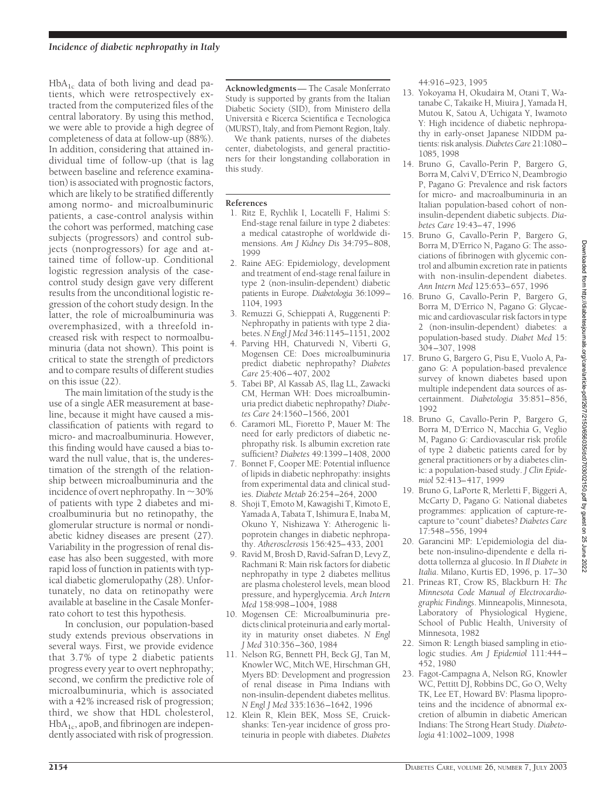$HbA_{1c}$  data of both living and dead patients, which were retrospectively extracted from the computerized files of the central laboratory. By using this method, we were able to provide a high degree of completeness of data at follow-up (88%). In addition, considering that attained individual time of follow-up (that is lag between baseline and reference examination) is associated with prognostic factors, which are likely to be stratified differently among normo- and microalbuminuric patients, a case-control analysis within the cohort was performed, matching case subjects (progressors) and control subjects (nonprogressors) for age and attained time of follow-up. Conditional logistic regression analysis of the casecontrol study design gave very different results from the unconditional logistic regression of the cohort study design. In the latter, the role of microalbuminuria was overemphasized, with a threefold increased risk with respect to normoalbuminuria (data not shown). This point is critical to state the strength of predictors and to compare results of different studies on this issue (22).

The main limitation of the study is the use of a single AER measurement at baseline, because it might have caused a misclassification of patients with regard to micro- and macroalbuminuria. However, this finding would have caused a bias toward the null value, that is, the underestimation of the strength of the relationship between microalbuminuria and the incidence of overt nephropathy. In 30% of patients with type 2 diabetes and microalbuminuria but no retinopathy, the glomerular structure is normal or nondiabetic kidney diseases are present (27). Variability in the progression of renal disease has also been suggested, with more rapid loss of function in patients with typical diabetic glomerulopathy (28). Unfortunately, no data on retinopathy were available at baseline in the Casale Monferrato cohort to test this hypothesis.

In conclusion, our population-based study extends previous observations in several ways. First, we provide evidence that 3.7% of type 2 diabetic patients progress every year to overt nephropathy; second, we confirm the predictive role of microalbuminuria, which is associated with a 42% increased risk of progression; third, we show that HDL cholesterol,  $HbA<sub>1c</sub>$ , apoB, and fibrinogen are independently associated with risk of progression.

**Acknowledgments**— The Casale Monferrato Study is supported by grants from the Italian Diabetic Society (SID), from Ministero della Universita` e Ricerca Scientifica e Tecnologica (MURST), Italy, and from Piemont Region, Italy.

We thank patients, nurses of the diabetes center, diabetologists, and general practitioners for their longstanding collaboration in this study.

## **References**

- 1. Ritz E, Rychlik I, Locatelli F, Halimi S: End-stage renal failure in type 2 diabetes: a medical catastrophe of worldwide dimensions. *Am J Kidney Dis* 34:795–808, 1999
- 2. Raine AEG: Epidemiology, development and treatment of end-stage renal failure in type 2 (non-insulin-dependent) diabetic patients in Europe. *Diabetologia* 36:1099– 1104, 1993
- 3. Remuzzi G, Schieppati A, Ruggenenti P: Nephropathy in patients with type 2 diabetes. *N Engl J Med* 346:1145–1151, 2002
- 4. Parving HH, Chaturvedi N, Viberti G, Mogensen CE: Does microalbuminuria predict diabetic nephropathy? *Diabetes Care* 25:406–407, 2002
- 5. Tabei BP, Al Kassab AS, Ilag LL, Zawacki CM, Herman WH: Does microalbuminuria predict diabetic nephropathy? *Diabetes Care* 24:1560–1566, 2001
- 6. Caramori ML, Fioretto P, Mauer M: The need for early predictors of diabetic nephropathy risk. Is albumin excretion rate sufficient? *Diabetes* 49:1399–1408, 2000
- 7. Bonnet F, Cooper ME: Potential influence of lipids in diabetic nephropathy: insights from experimental data and clinical studies. *Diabete Metab* 26:254–264, 2000
- 8. Shoji T, Emoto M, Kawagishi T, Kimoto E, Yamada A, Tabata T, Ishimura E, Inaba M, Okuno Y, Nishizawa Y: Atherogenic lipoprotein changes in diabetic nephropathy. *Atherosclerosis* 156:425–433, 2001
- 9. Ravid M, Brosh D, Ravid-Safran D, Levy Z, Rachmani R: Main risk factors for diabetic nephropathy in type 2 diabetes mellitus are plasma cholesterol levels, mean blood pressure, and hyperglycemia. *Arch Intern Med* 158:998–1004, 1988
- 10. Mogensen CE: Microalbuminuria predicts clinical proteinuria and early mortality in maturity onset diabetes. *N Engl J Med* 310:356–360, 1984
- 11. Nelson RG, Bennett PH, Beck GJ, Tan M, Knowler WC, Mitch WE, Hirschman GH, Myers BD: Development and progression of renal disease in Pima Indians with non-insulin-dependent diabetes mellitus. *N Engl J Med* 335:1636–1642, 1996
- 12. Klein R, Klein BEK, Moss SE, Cruickshanks: Ten-year incidence of gross proteinuria in people with diabetes. *Diabetes*

44:916–923, 1995

- 13. Yokoyama H, Okudaira M, Otani T, Watanabe C, Takaike H, Miuira J, Yamada H, Mutou K, Satou A, Uchigata Y, Iwamoto Y: High incidence of diabetic nephropathy in early-onset Japanese NIDDM patients: risk analysis.*Diabetes Care* 21:1080– 1085, 1998
- 14. Bruno G, Cavallo-Perin P, Bargero G, Borra M, Calvi V, D'Errico N, Deambrogio P, Pagano G: Prevalence and risk factors for micro- and macroalbuminuria in an Italian population-based cohort of noninsulin-dependent diabetic subjects. *Diabetes Care* 19:43–47, 1996
- 15. Bruno G, Cavallo-Perin P, Bargero G, Borra M, D'Errico N, Pagano G: The associations of fibrinogen with glycemic control and albumin excretion rate in patients with non-insulin-dependent diabetes. *Ann Intern Med* 125:653–657, 1996
- 16. Bruno G, Cavallo-Perin P, Bargero G, Borra M, D'Errico N, Pagano G: Glycaemic and cardiovascular risk factors in type 2 (non-insulin-dependent) diabetes: a population-based study. *Diabet Med* 15: 304–307, 1998
- 17. Bruno G, Bargero G, Pisu E, Vuolo A, Pagano G: A population-based prevalence survey of known diabetes based upon multiple independent data sources of ascertainment. *Diabetologia* 35:851–856, 1992
- 18. Bruno G, Cavallo-Perin P, Bargero G, Borra M, D'Errico N, Macchia G, Veglio M, Pagano G: Cardiovascular risk profile of type 2 diabetic patients cared for by general practitioners or by a diabetes clinic: a population-based study. *J Clin Epidemiol* 52:413–417, 1999
- 19. Bruno G, LaPorte R, Merletti F, Biggeri A, McCarty D, Pagano G: National diabetes programmes: application of capture-recapture to "count" diabetes? *Diabetes Care* 17:548–556, 1994
- 20. Garancini MP: L'epidemiologia del diabete non-insulino-dipendente e della ridotta tollernza al glucosio. In *Il Diabete in Italia*. Milano, Kurtis ED, 1996, p. 17–30
- 21. Prineas RT, Crow RS, Blackburn H: *The Minnesota Code Manual of Electrocardiographic Findings*. Minneapolis, Minnesota, Laboratory of Physiological Hygiene, School of Public Health, University of Minnesota, 1982
- 22. Simon R: Length biased sampling in etiologic studies. *Am J Epidemiol* 111:444– 452, 1980
- 23. Fagot-Campagna A, Nelson RG, Knowler WC, Pettitt DJ, Robbins DC, Go O, Welty TK, Lee ET, Howard BV: Plasma lipoproteins and the incidence of abnormal excretion of albumin in diabetic American Indians: The Strong Heart Study. *Diabetologia* 41:1002–1009, 1998